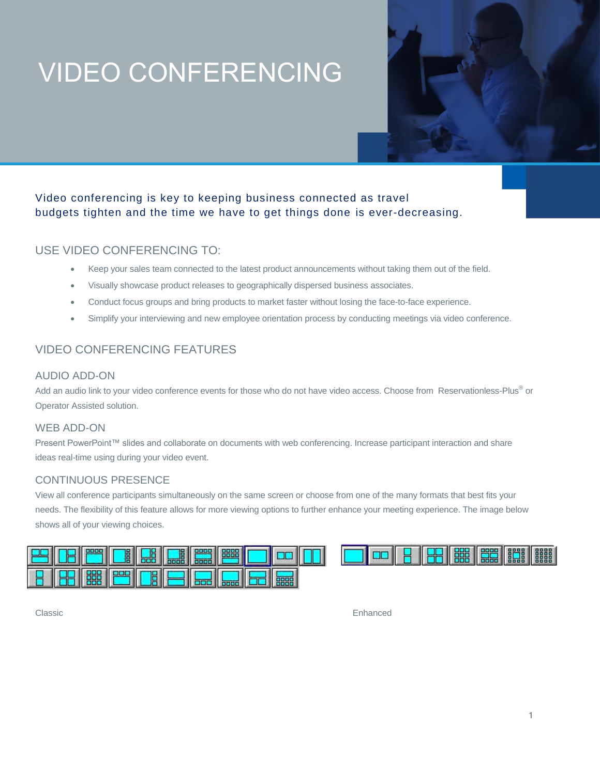# VIDEO CONFERENCING

# Video conferencing is key to keeping business connected as travel budgets tighten and the time we have to get things done is ever-decreasing.

# USE VIDEO CONFERENCING TO:

- Keep your sales team connected to the latest product announcements without taking them out of the field.
- Visually showcase product releases to geographically dispersed business associates.
- Conduct focus groups and bring products to market faster without losing the face-to-face experience.
- Simplify your interviewing and new employee orientation process by conducting meetings via video conference.

# VIDEO CONFERENCING FEATURES

## AUDIO ADD-ON

Add an audio link to your video conference events for those who do not have video access. Choose from Reservationless-Plus® or Operator Assisted solution.

### WEB ADD-ON

Present PowerPoint™ slides and collaborate on documents with web conferencing. Increase participant interaction and share ideas real-time using during your video event.

## CONTINUOUS PRESENCE

View all conference participants simultaneously on the same screen or choose from one of the many formats that best fits your needs. The flexibility of this feature allows for more viewing options to further enhance your meeting experience. The image below shows all of your viewing choices.



Classic Enhanced